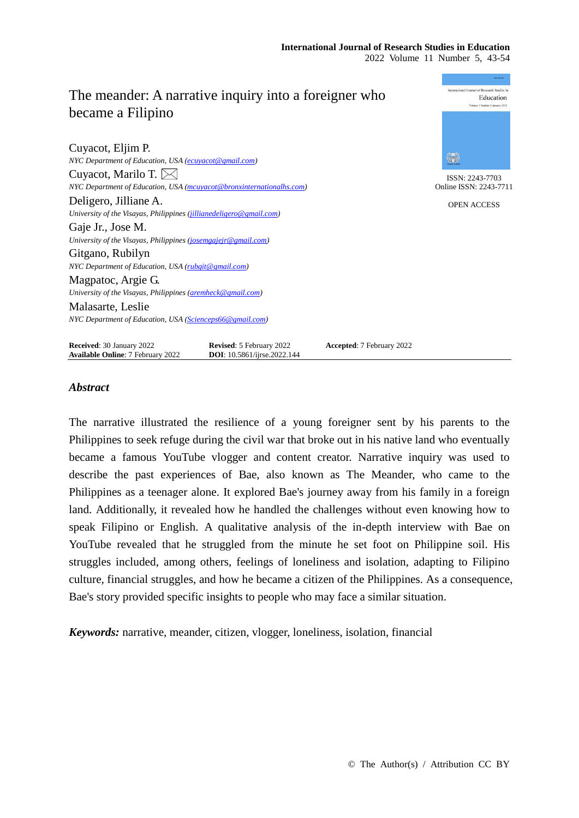| The meander: A narrative inquiry into a foreigner who                 |                                                                        |                           | International Journal of Research Studies in<br>Education<br>Volume 1 Number 1 January 2012 |
|-----------------------------------------------------------------------|------------------------------------------------------------------------|---------------------------|---------------------------------------------------------------------------------------------|
| became a Filipino                                                     |                                                                        |                           |                                                                                             |
| Cuyacot, Eljim P.                                                     |                                                                        |                           |                                                                                             |
| NYC Department of Education, USA (ecuyacot@gmail.com)                 |                                                                        |                           | 纝                                                                                           |
| Cuyacot, Marilo T. $\bowtie$                                          |                                                                        |                           | ISSN: 2243-7703                                                                             |
| NYC Department of Education, USA (mcuyacot@bronxinternationalhs.com)  |                                                                        |                           | Online ISSN: 2243-7711                                                                      |
| Deligero, Jilliane A.                                                 |                                                                        |                           | <b>OPEN ACCESS</b>                                                                          |
| University of the Visayas, Philippines (jillianedeligero@gmail.com)   |                                                                        |                           |                                                                                             |
| Gaje Jr., Jose M.                                                     |                                                                        |                           |                                                                                             |
| University of the Visayas, Philippines (josemgajejr@gmail.com)        |                                                                        |                           |                                                                                             |
| Gitgano, Rubilyn                                                      |                                                                        |                           |                                                                                             |
| NYC Department of Education, USA (rubgit@gmail.com)                   |                                                                        |                           |                                                                                             |
| Magpatoc, Argie G.                                                    |                                                                        |                           |                                                                                             |
| University of the Visayas, Philippines (aremheck@gmail.com)           |                                                                        |                           |                                                                                             |
| Malasarte, Leslie                                                     |                                                                        |                           |                                                                                             |
| NYC Department of Education, USA (Scienceps66@gmail.com)              |                                                                        |                           |                                                                                             |
| Received: 30 January 2022<br><b>Available Online: 7 February 2022</b> | <b>Revised:</b> 5 February 2022<br><b>DOI</b> : 10.5861/ijrse.2022.144 | Accepted: 7 February 2022 |                                                                                             |

# *Abstract*

The narrative illustrated the resilience of a young foreigner sent by his parents to the Philippines to seek refuge during the civil war that broke out in his native land who eventually became a famous YouTube vlogger and content creator. Narrative inquiry was used to describe the past experiences of Bae, also known as The Meander, who came to the Philippines as a teenager alone. It explored Bae's journey away from his family in a foreign land. Additionally, it revealed how he handled the challenges without even knowing how to speak Filipino or English. A qualitative analysis of the in-depth interview with Bae on YouTube revealed that he struggled from the minute he set foot on Philippine soil. His struggles included, among others, feelings of loneliness and isolation, adapting to Filipino culture, financial struggles, and how he became a citizen of the Philippines. As a consequence, Bae's story provided specific insights to people who may face a similar situation.

*Keywords:* narrative, meander, citizen, vlogger, loneliness, isolation, financial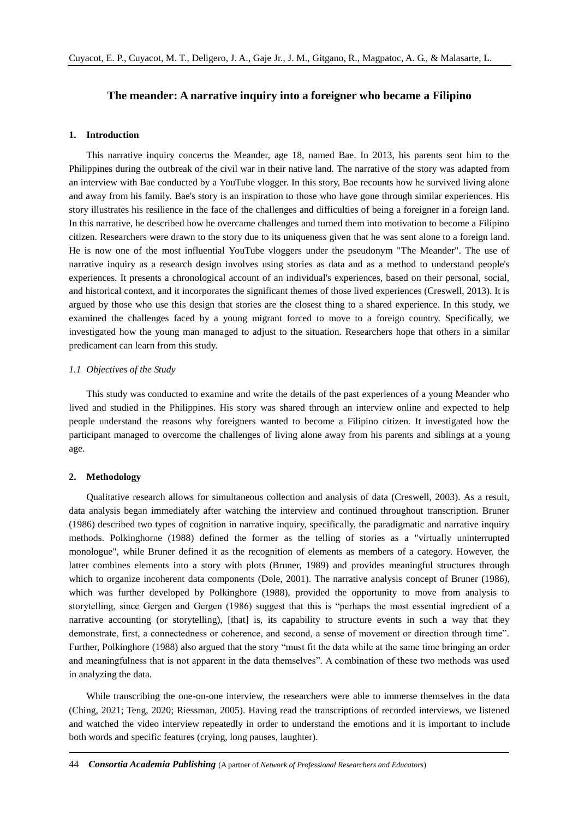# **The meander: A narrative inquiry into a foreigner who became a Filipino**

#### **1. Introduction**

This narrative inquiry concerns the Meander, age 18, named Bae. In 2013, his parents sent him to the Philippines during the outbreak of the civil war in their native land. The narrative of the story was adapted from an interview with Bae conducted by a YouTube vlogger. In this story, Bae recounts how he survived living alone and away from his family. Bae's story is an inspiration to those who have gone through similar experiences. His story illustrates his resilience in the face of the challenges and difficulties of being a foreigner in a foreign land. In this narrative, he described how he overcame challenges and turned them into motivation to become a Filipino citizen. Researchers were drawn to the story due to its uniqueness given that he was sent alone to a foreign land. He is now one of the most influential YouTube vloggers under the pseudonym "The Meander". The use of narrative inquiry as a research design involves using stories as data and as a method to understand people's experiences. It presents a chronological account of an individual's experiences, based on their personal, social, and historical context, and it incorporates the significant themes of those lived experiences (Creswell, 2013). It is argued by those who use this design that stories are the closest thing to a shared experience. In this study, we examined the challenges faced by a young migrant forced to move to a foreign country. Specifically, we investigated how the young man managed to adjust to the situation. Researchers hope that others in a similar predicament can learn from this study.

### *1.1 Objectives of the Study*

This study was conducted to examine and write the details of the past experiences of a young Meander who lived and studied in the Philippines. His story was shared through an interview online and expected to help people understand the reasons why foreigners wanted to become a Filipino citizen. It investigated how the participant managed to overcome the challenges of living alone away from his parents and siblings at a young age.

## **2. Methodology**

Qualitative research allows for simultaneous collection and analysis of data (Creswell, 2003). As a result, data analysis began immediately after watching the interview and continued throughout transcription. Bruner (1986) described two types of cognition in narrative inquiry, specifically, the paradigmatic and narrative inquiry methods. Polkinghorne (1988) defined the former as the telling of stories as a "virtually uninterrupted monologue", while Bruner defined it as the recognition of elements as members of a category. However, the latter combines elements into a story with plots (Bruner, 1989) and provides meaningful structures through which to organize incoherent data components (Dole, 2001). The narrative analysis concept of Bruner (1986), which was further developed by Polkinghore (1988), provided the opportunity to move from analysis to storytelling, since Gergen and Gergen (1986) suggest that this is "perhaps the most essential ingredient of a narrative accounting (or storytelling), [that] is, its capability to structure events in such a way that they demonstrate, first, a connectedness or coherence, and second, a sense of movement or direction through time". Further, Polkinghore (1988) also argued that the story "must fit the data while at the same time bringing an order and meaningfulness that is not apparent in the data themselves". A combination of these two methods was used in analyzing the data.

While transcribing the one-on-one interview, the researchers were able to immerse themselves in the data (Ching, 2021; Teng, 2020; Riessman, 2005). Having read the transcriptions of recorded interviews, we listened and watched the video interview repeatedly in order to understand the emotions and it is important to include both words and specific features (crying, long pauses, laughter).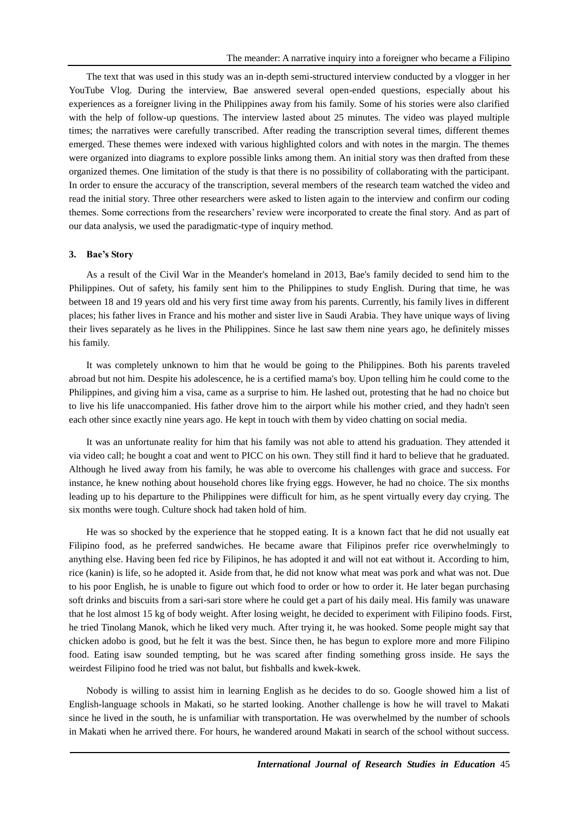The text that was used in this study was an in-depth semi-structured interview conducted by a vlogger in her YouTube Vlog. During the interview, Bae answered several open-ended questions, especially about his experiences as a foreigner living in the Philippines away from his family. Some of his stories were also clarified with the help of follow-up questions. The interview lasted about 25 minutes. The video was played multiple times; the narratives were carefully transcribed. After reading the transcription several times, different themes emerged. These themes were indexed with various highlighted colors and with notes in the margin. The themes were organized into diagrams to explore possible links among them. An initial story was then drafted from these organized themes. One limitation of the study is that there is no possibility of collaborating with the participant. In order to ensure the accuracy of the transcription, several members of the research team watched the video and read the initial story. Three other researchers were asked to listen again to the interview and confirm our coding themes. Some corrections from the researchers' review were incorporated to create the final story. And as part of our data analysis, we used the paradigmatic-type of inquiry method.

#### **3. Bae's Story**

As a result of the Civil War in the Meander's homeland in 2013, Bae's family decided to send him to the Philippines. Out of safety, his family sent him to the Philippines to study English. During that time, he was between 18 and 19 years old and his very first time away from his parents. Currently, his family lives in different places; his father lives in France and his mother and sister live in Saudi Arabia. They have unique ways of living their lives separately as he lives in the Philippines. Since he last saw them nine years ago, he definitely misses his family.

It was completely unknown to him that he would be going to the Philippines. Both his parents traveled abroad but not him. Despite his adolescence, he is a certified mama's boy. Upon telling him he could come to the Philippines, and giving him a visa, came as a surprise to him. He lashed out, protesting that he had no choice but to live his life unaccompanied. His father drove him to the airport while his mother cried, and they hadn't seen each other since exactly nine years ago. He kept in touch with them by video chatting on social media.

It was an unfortunate reality for him that his family was not able to attend his graduation. They attended it via video call; he bought a coat and went to PICC on his own. They still find it hard to believe that he graduated. Although he lived away from his family, he was able to overcome his challenges with grace and success. For instance, he knew nothing about household chores like frying eggs. However, he had no choice. The six months leading up to his departure to the Philippines were difficult for him, as he spent virtually every day crying. The six months were tough. Culture shock had taken hold of him.

He was so shocked by the experience that he stopped eating. It is a known fact that he did not usually eat Filipino food, as he preferred sandwiches. He became aware that Filipinos prefer rice overwhelmingly to anything else. Having been fed rice by Filipinos, he has adopted it and will not eat without it. According to him, rice (kanin) is life, so he adopted it. Aside from that, he did not know what meat was pork and what was not. Due to his poor English, he is unable to figure out which food to order or how to order it. He later began purchasing soft drinks and biscuits from a sari-sari store where he could get a part of his daily meal. His family was unaware that he lost almost 15 kg of body weight. After losing weight, he decided to experiment with Filipino foods. First, he tried Tinolang Manok, which he liked very much. After trying it, he was hooked. Some people might say that chicken adobo is good, but he felt it was the best. Since then, he has begun to explore more and more Filipino food. Eating isaw sounded tempting, but he was scared after finding something gross inside. He says the weirdest Filipino food he tried was not balut, but fishballs and kwek-kwek.

Nobody is willing to assist him in learning English as he decides to do so. Google showed him a list of English-language schools in Makati, so he started looking. Another challenge is how he will travel to Makati since he lived in the south, he is unfamiliar with transportation. He was overwhelmed by the number of schools in Makati when he arrived there. For hours, he wandered around Makati in search of the school without success.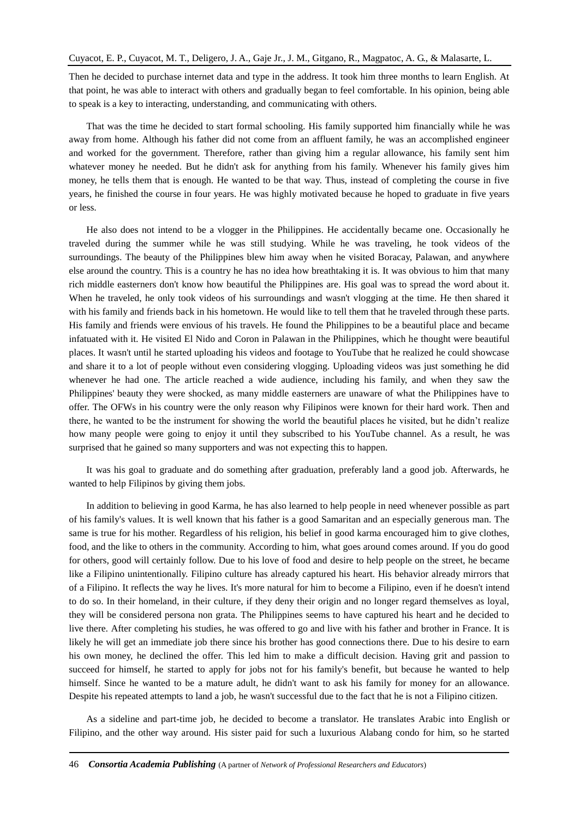Then he decided to purchase internet data and type in the address. It took him three months to learn English. At that point, he was able to interact with others and gradually began to feel comfortable. In his opinion, being able to speak is a key to interacting, understanding, and communicating with others.

That was the time he decided to start formal schooling. His family supported him financially while he was away from home. Although his father did not come from an affluent family, he was an accomplished engineer and worked for the government. Therefore, rather than giving him a regular allowance, his family sent him whatever money he needed. But he didn't ask for anything from his family. Whenever his family gives him money, he tells them that is enough. He wanted to be that way. Thus, instead of completing the course in five years, he finished the course in four years. He was highly motivated because he hoped to graduate in five years or less.

He also does not intend to be a vlogger in the Philippines. He accidentally became one. Occasionally he traveled during the summer while he was still studying. While he was traveling, he took videos of the surroundings. The beauty of the Philippines blew him away when he visited Boracay, Palawan, and anywhere else around the country. This is a country he has no idea how breathtaking it is. It was obvious to him that many rich middle easterners don't know how beautiful the Philippines are. His goal was to spread the word about it. When he traveled, he only took videos of his surroundings and wasn't vlogging at the time. He then shared it with his family and friends back in his hometown. He would like to tell them that he traveled through these parts. His family and friends were envious of his travels. He found the Philippines to be a beautiful place and became infatuated with it. He visited El Nido and Coron in Palawan in the Philippines, which he thought were beautiful places. It wasn't until he started uploading his videos and footage to YouTube that he realized he could showcase and share it to a lot of people without even considering vlogging. Uploading videos was just something he did whenever he had one. The article reached a wide audience, including his family, and when they saw the Philippines' beauty they were shocked, as many middle easterners are unaware of what the Philippines have to offer. The OFWs in his country were the only reason why Filipinos were known for their hard work. Then and there, he wanted to be the instrument for showing the world the beautiful places he visited, but he didn't realize how many people were going to enjoy it until they subscribed to his YouTube channel. As a result, he was surprised that he gained so many supporters and was not expecting this to happen.

It was his goal to graduate and do something after graduation, preferably land a good job. Afterwards, he wanted to help Filipinos by giving them jobs.

In addition to believing in good Karma, he has also learned to help people in need whenever possible as part of his family's values. It is well known that his father is a good Samaritan and an especially generous man. The same is true for his mother. Regardless of his religion, his belief in good karma encouraged him to give clothes, food, and the like to others in the community. According to him, what goes around comes around. If you do good for others, good will certainly follow. Due to his love of food and desire to help people on the street, he became like a Filipino unintentionally. Filipino culture has already captured his heart. His behavior already mirrors that of a Filipino. It reflects the way he lives. It's more natural for him to become a Filipino, even if he doesn't intend to do so. In their homeland, in their culture, if they deny their origin and no longer regard themselves as loyal, they will be considered persona non grata. The Philippines seems to have captured his heart and he decided to live there. After completing his studies, he was offered to go and live with his father and brother in France. It is likely he will get an immediate job there since his brother has good connections there. Due to his desire to earn his own money, he declined the offer. This led him to make a difficult decision. Having grit and passion to succeed for himself, he started to apply for jobs not for his family's benefit, but because he wanted to help himself. Since he wanted to be a mature adult, he didn't want to ask his family for money for an allowance. Despite his repeated attempts to land a job, he wasn't successful due to the fact that he is not a Filipino citizen.

As a sideline and part-time job, he decided to become a translator. He translates Arabic into English or Filipino, and the other way around. His sister paid for such a luxurious Alabang condo for him, so he started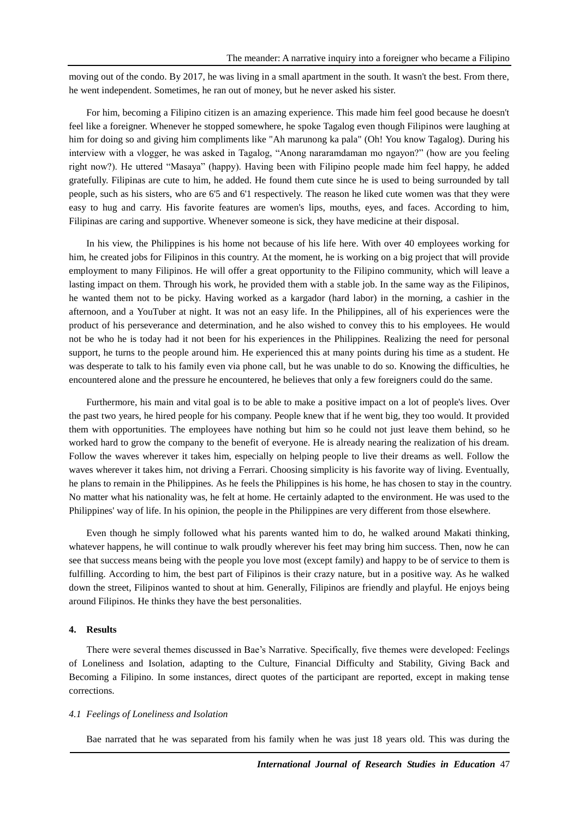moving out of the condo. By 2017, he was living in a small apartment in the south. It wasn't the best. From there, he went independent. Sometimes, he ran out of money, but he never asked his sister.

For him, becoming a Filipino citizen is an amazing experience. This made him feel good because he doesn't feel like a foreigner. Whenever he stopped somewhere, he spoke Tagalog even though Filipinos were laughing at him for doing so and giving him compliments like "Ah marunong ka pala" (Oh! You know Tagalog). During his interview with a vlogger, he was asked in Tagalog, "Anong nararamdaman mo ngayon?" (how are you feeling right now?). He uttered "Masaya" (happy). Having been with Filipino people made him feel happy, he added gratefully. Filipinas are cute to him, he added. He found them cute since he is used to being surrounded by tall people, such as his sisters, who are 6'5 and 6'1 respectively. The reason he liked cute women was that they were easy to hug and carry. His favorite features are women's lips, mouths, eyes, and faces. According to him, Filipinas are caring and supportive. Whenever someone is sick, they have medicine at their disposal.

In his view, the Philippines is his home not because of his life here. With over 40 employees working for him, he created jobs for Filipinos in this country. At the moment, he is working on a big project that will provide employment to many Filipinos. He will offer a great opportunity to the Filipino community, which will leave a lasting impact on them. Through his work, he provided them with a stable job. In the same way as the Filipinos, he wanted them not to be picky. Having worked as a kargador (hard labor) in the morning, a cashier in the afternoon, and a YouTuber at night. It was not an easy life. In the Philippines, all of his experiences were the product of his perseverance and determination, and he also wished to convey this to his employees. He would not be who he is today had it not been for his experiences in the Philippines. Realizing the need for personal support, he turns to the people around him. He experienced this at many points during his time as a student. He was desperate to talk to his family even via phone call, but he was unable to do so. Knowing the difficulties, he encountered alone and the pressure he encountered, he believes that only a few foreigners could do the same.

Furthermore, his main and vital goal is to be able to make a positive impact on a lot of people's lives. Over the past two years, he hired people for his company. People knew that if he went big, they too would. It provided them with opportunities. The employees have nothing but him so he could not just leave them behind, so he worked hard to grow the company to the benefit of everyone. He is already nearing the realization of his dream. Follow the waves wherever it takes him, especially on helping people to live their dreams as well. Follow the waves wherever it takes him, not driving a Ferrari. Choosing simplicity is his favorite way of living. Eventually, he plans to remain in the Philippines. As he feels the Philippines is his home, he has chosen to stay in the country. No matter what his nationality was, he felt at home. He certainly adapted to the environment. He was used to the Philippines' way of life. In his opinion, the people in the Philippines are very different from those elsewhere.

Even though he simply followed what his parents wanted him to do, he walked around Makati thinking, whatever happens, he will continue to walk proudly wherever his feet may bring him success. Then, now he can see that success means being with the people you love most (except family) and happy to be of service to them is fulfilling. According to him, the best part of Filipinos is their crazy nature, but in a positive way. As he walked down the street, Filipinos wanted to shout at him. Generally, Filipinos are friendly and playful. He enjoys being around Filipinos. He thinks they have the best personalities.

#### **4. Results**

There were several themes discussed in Bae's Narrative. Specifically, five themes were developed: Feelings of Loneliness and Isolation, adapting to the Culture, Financial Difficulty and Stability, Giving Back and Becoming a Filipino. In some instances, direct quotes of the participant are reported, except in making tense corrections.

## *4.1 Feelings of Loneliness and Isolation*

Bae narrated that he was separated from his family when he was just 18 years old. This was during the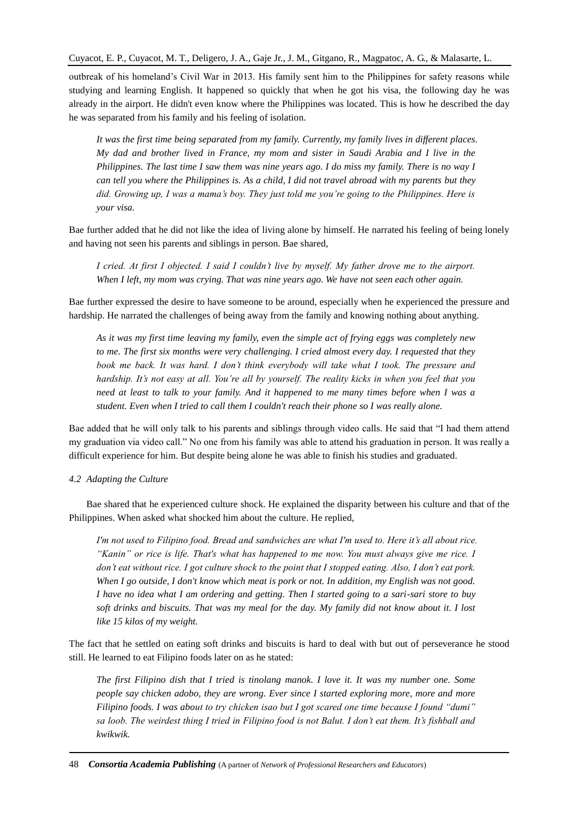outbreak of his homeland's Civil War in 2013. His family sent him to the Philippines for safety reasons while studying and learning English. It happened so quickly that when he got his visa, the following day he was already in the airport. He didn't even know where the Philippines was located. This is how he described the day he was separated from his family and his feeling of isolation.

*It was the first time being separated from my family. Currently, my family lives in different places. My dad and brother lived in France, my mom and sister in Saudi Arabia and I live in the Philippines. The last time I saw them was nine years ago. I do miss my family. There is no way I can tell you where the Philippines is. As a child, I did not travel abroad with my parents but they did. Growing up, I was a mama's boy. They just told me you're going to the Philippines. Here is your visa.*

Bae further added that he did not like the idea of living alone by himself. He narrated his feeling of being lonely and having not seen his parents and siblings in person. Bae shared,

*I cried. At first I objected. I said I couldn't live by myself. My father drove me to the airport. When I left, my mom was crying. That was nine years ago. We have not seen each other again.* 

Bae further expressed the desire to have someone to be around, especially when he experienced the pressure and hardship. He narrated the challenges of being away from the family and knowing nothing about anything.

*As it was my first time leaving my family, even the simple act of frying eggs was completely new to me. The first six months were very challenging. I cried almost every day. I requested that they book me back. It was hard. I don't think everybody will take what I took. The pressure and hardship. It's not easy at all. You're all by yourself. The reality kicks in when you feel that you need at least to talk to your family. And it happened to me many times before when I was a student. Even when I tried to call them I couldn't reach their phone so I was really alone.*

Bae added that he will only talk to his parents and siblings through video calls. He said that "I had them attend my graduation via video call." No one from his family was able to attend his graduation in person. It was really a difficult experience for him. But despite being alone he was able to finish his studies and graduated.

# *4.2 Adapting the Culture*

Bae shared that he experienced culture shock. He explained the disparity between his culture and that of the Philippines. When asked what shocked him about the culture. He replied,

*I'm not used to Filipino food. Bread and sandwiches are what I'm used to. Here it's all about rice. "Kanin" or rice is life. That's what has happened to me now. You must always give me rice. I don't eat without rice. I got culture shock to the point that I stopped eating. Also, I don't eat pork. When I go outside, I don't know which meat is pork or not. In addition, my English was not good. I have no idea what I am ordering and getting. Then I started going to a sari-sari store to buy soft drinks and biscuits. That was my meal for the day. My family did not know about it. I lost like 15 kilos of my weight.*

The fact that he settled on eating soft drinks and biscuits is hard to deal with but out of perseverance he stood still. He learned to eat Filipino foods later on as he stated:

*The first Filipino dish that I tried is tinolang manok. I love it. It was my number one. Some people say chicken adobo, they are wrong. Ever since I started exploring more, more and more Filipino foods. I was about to try chicken isao but I got scared one time because I found "dumi" sa loob. The weirdest thing I tried in Filipino food is not Balut. I don't eat them. It's fishball and kwikwik.*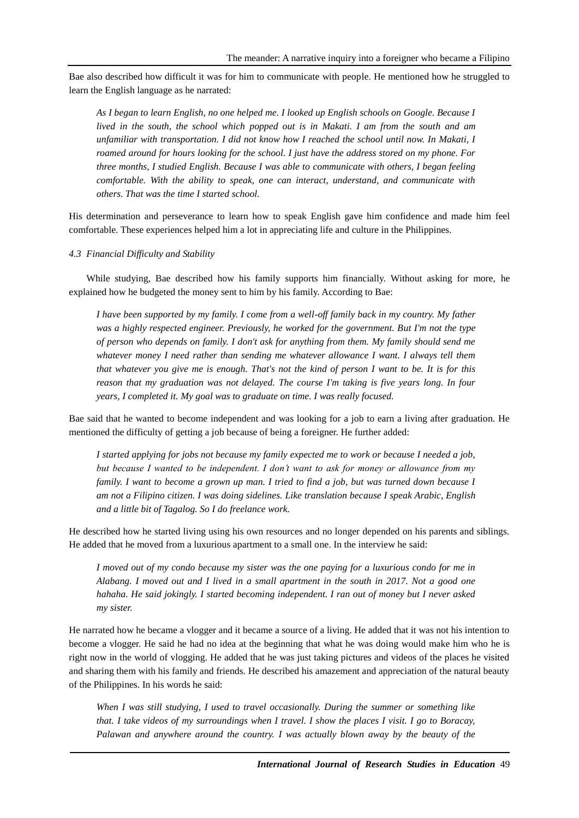Bae also described how difficult it was for him to communicate with people. He mentioned how he struggled to learn the English language as he narrated:

*As I began to learn English, no one helped me. I looked up English schools on Google. Because I lived in the south, the school which popped out is in Makati. I am from the south and am unfamiliar with transportation. I did not know how I reached the school until now. In Makati, I roamed around for hours looking for the school. I just have the address stored on my phone. For three months, I studied English. Because I was able to communicate with others, I began feeling comfortable. With the ability to speak, one can interact, understand, and communicate with others. That was the time I started school.*

His determination and perseverance to learn how to speak English gave him confidence and made him feel comfortable. These experiences helped him a lot in appreciating life and culture in the Philippines.

*4.3 Financial Difficulty and Stability*

While studying, Bae described how his family supports him financially. Without asking for more, he explained how he budgeted the money sent to him by his family. According to Bae:

*I have been supported by my family. I come from a well-off family back in my country. My father was a highly respected engineer. Previously, he worked for the government. But I'm not the type of person who depends on family. I don't ask for anything from them. My family should send me whatever money I need rather than sending me whatever allowance I want. I always tell them that whatever you give me is enough. That's not the kind of person I want to be. It is for this reason that my graduation was not delayed. The course I'm taking is five years long. In four years, I completed it. My goal was to graduate on time. I was really focused.*

Bae said that he wanted to become independent and was looking for a job to earn a living after graduation. He mentioned the difficulty of getting a job because of being a foreigner. He further added:

*I started applying for jobs not because my family expected me to work or because I needed a job, but because I wanted to be independent. I don't want to ask for money or allowance from my family. I want to become a grown up man. I tried to find a job, but was turned down because I am not a Filipino citizen. I was doing sidelines. Like translation because I speak Arabic, English and a little bit of Tagalog. So I do freelance work.* 

He described how he started living using his own resources and no longer depended on his parents and siblings. He added that he moved from a luxurious apartment to a small one. In the interview he said:

*I moved out of my condo because my sister was the one paying for a luxurious condo for me in Alabang. I moved out and I lived in a small apartment in the south in 2017. Not a good one hahaha. He said jokingly. I started becoming independent. I ran out of money but I never asked my sister.*

He narrated how he became a vlogger and it became a source of a living. He added that it was not his intention to become a vlogger. He said he had no idea at the beginning that what he was doing would make him who he is right now in the world of vlogging. He added that he was just taking pictures and videos of the places he visited and sharing them with his family and friends. He described his amazement and appreciation of the natural beauty of the Philippines. In his words he said:

*When I was still studying, I used to travel occasionally. During the summer or something like that. I take videos of my surroundings when I travel. I show the places I visit. I go to Boracay, Palawan and anywhere around the country. I was actually blown away by the beauty of the*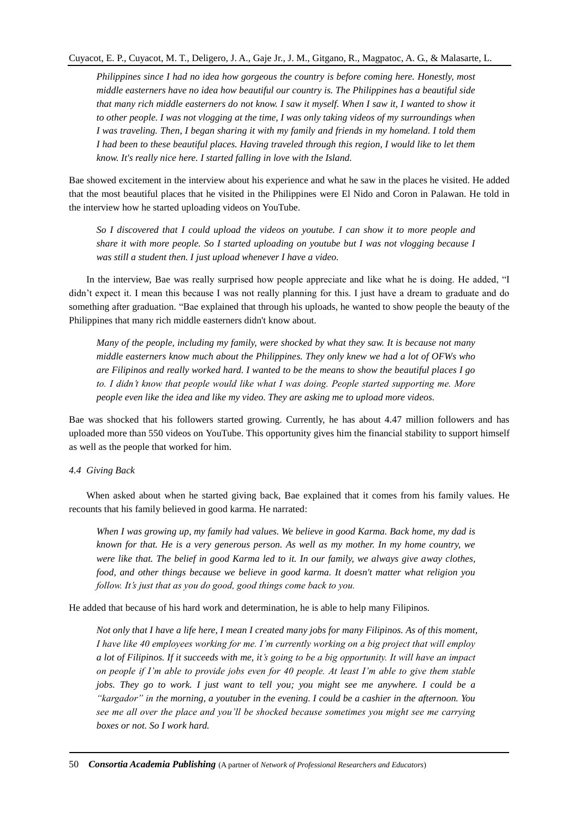*Philippines since I had no idea how gorgeous the country is before coming here. Honestly, most middle easterners have no idea how beautiful our country is. The Philippines has a beautiful side that many rich middle easterners do not know. I saw it myself. When I saw it, I wanted to show it to other people. I was not vlogging at the time, I was only taking videos of my surroundings when I was traveling. Then, I began sharing it with my family and friends in my homeland. I told them I had been to these beautiful places. Having traveled through this region, I would like to let them know. It's really nice here. I started falling in love with the Island.*

Bae showed excitement in the interview about his experience and what he saw in the places he visited. He added that the most beautiful places that he visited in the Philippines were El Nido and Coron in Palawan. He told in the interview how he started uploading videos on YouTube.

*So I discovered that I could upload the videos on youtube. I can show it to more people and share it with more people. So I started uploading on youtube but I was not vlogging because I was still a student then. I just upload whenever I have a video.* 

In the interview, Bae was really surprised how people appreciate and like what he is doing. He added, "I didn't expect it. I mean this because I was not really planning for this. I just have a dream to graduate and do something after graduation. "Bae explained that through his uploads, he wanted to show people the beauty of the Philippines that many rich middle easterners didn't know about.

*Many of the people, including my family, were shocked by what they saw. It is because not many middle easterners know much about the Philippines. They only knew we had a lot of OFWs who are Filipinos and really worked hard. I wanted to be the means to show the beautiful places I go to. I didn't know that people would like what I was doing. People started supporting me. More people even like the idea and like my video. They are asking me to upload more videos.*

Bae was shocked that his followers started growing. Currently, he has about 4.47 million followers and has uploaded more than 550 videos on YouTube. This opportunity gives him the financial stability to support himself as well as the people that worked for him.

# *4.4 Giving Back*

When asked about when he started giving back, Bae explained that it comes from his family values. He recounts that his family believed in good karma. He narrated:

*When I was growing up, my family had values. We believe in good Karma. Back home, my dad is known for that. He is a very generous person. As well as my mother. In my home country, we were like that. The belief in good Karma led to it. In our family, we always give away clothes, food, and other things because we believe in good karma. It doesn't matter what religion you follow. It's just that as you do good, good things come back to you.*

He added that because of his hard work and determination, he is able to help many Filipinos.

*Not only that I have a life here, I mean I created many jobs for many Filipinos. As of this moment, I have like 40 employees working for me. I'm currently working on a big project that will employ a lot of Filipinos. If it succeeds with me, it's going to be a big opportunity. It will have an impact on people if I'm able to provide jobs even for 40 people. At least I'm able to give them stable jobs. They go to work. I just want to tell you; you might see me anywhere. I could be a "kargador" in the morning, a youtuber in the evening. I could be a cashier in the afternoon. You see me all over the place and you'll be shocked because sometimes you might see me carrying boxes or not. So I work hard.*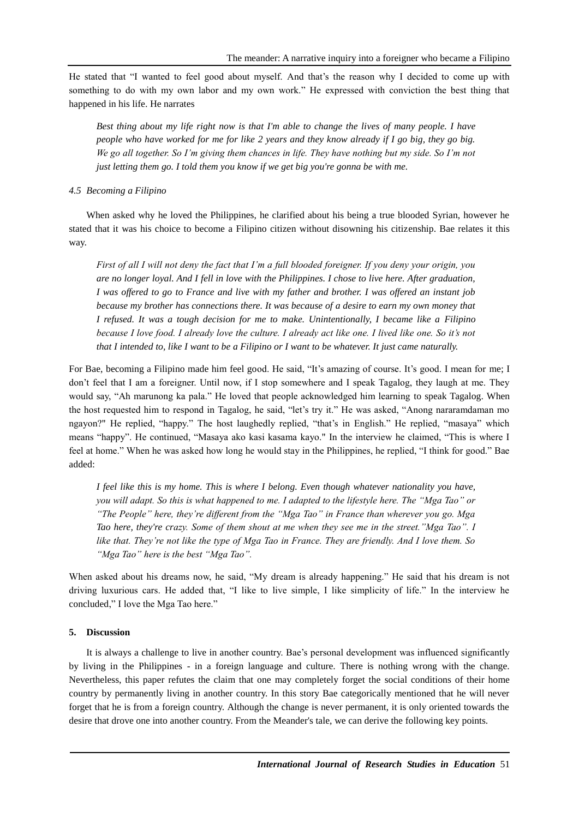He stated that "I wanted to feel good about myself. And that's the reason why I decided to come up with something to do with my own labor and my own work." He expressed with conviction the best thing that happened in his life. He narrates

*Best thing about my life right now is that I'm able to change the lives of many people. I have people who have worked for me for like 2 years and they know already if I go big, they go big. We go all together. So I'm giving them chances in life. They have nothing but my side. So I'm not just letting them go. I told them you know if we get big you're gonna be with me.*

# *4.5 Becoming a Filipino*

When asked why he loved the Philippines, he clarified about his being a true blooded Syrian, however he stated that it was his choice to become a Filipino citizen without disowning his citizenship. Bae relates it this way.

*First of all I will not deny the fact that I'm a full blooded foreigner. If you deny your origin, you are no longer loyal. And I fell in love with the Philippines. I chose to live here. After graduation, I was offered to go to France and live with my father and brother. I was offered an instant job because my brother has connections there. It was because of a desire to earn my own money that I refused. It was a tough decision for me to make. Unintentionally, I became like a Filipino because I love food. I already love the culture. I already act like one. I lived like one. So it's not that I intended to, like I want to be a Filipino or I want to be whatever. It just came naturally.*

For Bae, becoming a Filipino made him feel good. He said, "It's amazing of course. It's good. I mean for me; I don't feel that I am a foreigner. Until now, if I stop somewhere and I speak Tagalog, they laugh at me. They would say, "Ah marunong ka pala." He loved that people acknowledged him learning to speak Tagalog. When the host requested him to respond in Tagalog, he said, "let's try it." He was asked, "Anong nararamdaman mo ngayon?" He replied, "happy." The host laughedly replied, "that's in English." He replied, "masaya" which means "happy". He continued, "Masaya ako kasi kasama kayo." In the interview he claimed, "This is where I feel at home." When he was asked how long he would stay in the Philippines, he replied, "I think for good." Bae added:

*I feel like this is my home. This is where I belong. Even though whatever nationality you have, you will adapt. So this is what happened to me. I adapted to the lifestyle here. The "Mga Tao" or "The People" here, they're different from the "Mga Tao" in France than wherever you go. Mga Tao here, they're crazy. Some of them shout at me when they see me in the street."Mga Tao". I like that. They're not like the type of Mga Tao in France. They are friendly. And I love them. So "Mga Tao" here is the best "Mga Tao".*

When asked about his dreams now, he said, "My dream is already happening." He said that his dream is not driving luxurious cars. He added that, "I like to live simple, I like simplicity of life." In the interview he concluded," I love the Mga Tao here."

# **5. Discussion**

It is always a challenge to live in another country. Bae's personal development was influenced significantly by living in the Philippines - in a foreign language and culture. There is nothing wrong with the change. Nevertheless, this paper refutes the claim that one may completely forget the social conditions of their home country by permanently living in another country. In this story Bae categorically mentioned that he will never forget that he is from a foreign country. Although the change is never permanent, it is only oriented towards the desire that drove one into another country. From the Meander's tale, we can derive the following key points.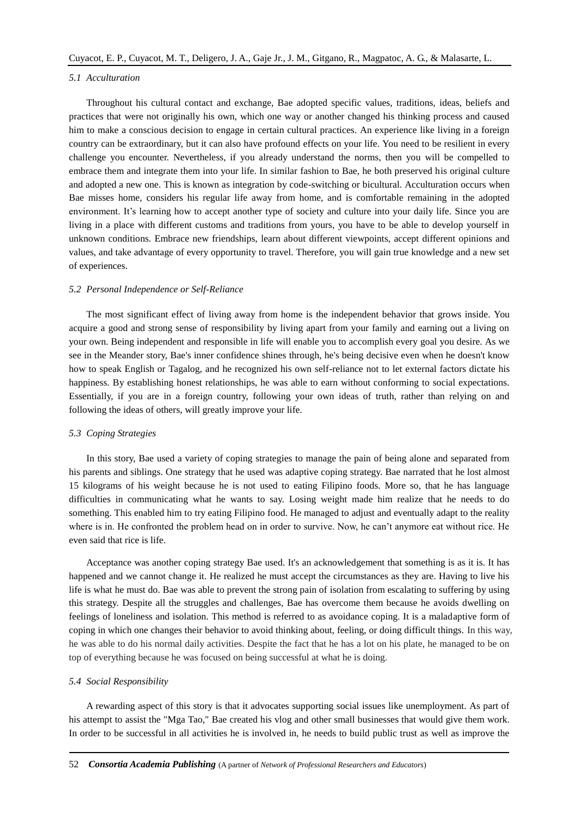### *5.1 Acculturation*

Throughout his cultural contact and exchange, Bae adopted specific values, traditions, ideas, beliefs and practices that were not originally his own, which one way or another changed his thinking process and caused him to make a conscious decision to engage in certain cultural practices. An experience like living in a foreign country can be extraordinary, but it can also have profound effects on your life. You need to be resilient in every challenge you encounter. Nevertheless, if you already understand the norms, then you will be compelled to embrace them and integrate them into your life. In similar fashion to Bae, he both preserved his original culture and adopted a new one. This is known as integration by code-switching or bicultural. Acculturation occurs when Bae misses home, considers his regular life away from home, and is comfortable remaining in the adopted environment. It's learning how to accept another type of society and culture into your daily life. Since you are living in a place with different customs and traditions from yours, you have to be able to develop yourself in unknown conditions. Embrace new friendships, learn about different viewpoints, accept different opinions and values, and take advantage of every opportunity to travel. Therefore, you will gain true knowledge and a new set of experiences.

### *5.2 Personal Independence or Self-Reliance*

The most significant effect of living away from home is the independent behavior that grows inside. You acquire a good and strong sense of responsibility by living apart from your family and earning out a living on your own. Being independent and responsible in life will enable you to accomplish every goal you desire. As we see in the Meander story, Bae's inner confidence shines through, he's being decisive even when he doesn't know how to speak English or Tagalog, and he recognized his own self-reliance not to let external factors dictate his happiness. By establishing honest relationships, he was able to earn without conforming to social expectations. Essentially, if you are in a foreign country, following your own ideas of truth, rather than relying on and following the ideas of others, will greatly improve your life.

#### *5.3 Coping Strategies*

In this story, Bae used a variety of coping strategies to manage the pain of being alone and separated from his parents and siblings. One strategy that he used was adaptive coping strategy. Bae narrated that he lost almost 15 kilograms of his weight because he is not used to eating Filipino foods. More so, that he has language difficulties in communicating what he wants to say. Losing weight made him realize that he needs to do something. This enabled him to try eating Filipino food. He managed to adjust and eventually adapt to the reality where is in. He confronted the problem head on in order to survive. Now, he can't anymore eat without rice. He even said that rice is life.

Acceptance was another coping strategy Bae used. It's an acknowledgement that something is as it is. It has happened and we cannot change it. He realized he must accept the circumstances as they are. Having to live his life is what he must do. Bae was able to prevent the strong pain of isolation from escalating to suffering by using this strategy. Despite all the struggles and challenges, Bae has overcome them because he avoids dwelling on feelings of loneliness and isolation. This method is referred to as avoidance coping. It is a maladaptive form of coping in which one changes their behavior to avoid thinking about, feeling, or doing difficult things. In this way, he was able to do his normal daily activities. Despite the fact that he has a lot on his plate, he managed to be on top of everything because he was focused on being successful at what he is doing.

#### *5.4 Social Responsibility*

A rewarding aspect of this story is that it advocates supporting social issues like unemployment. As part of his attempt to assist the "Mga Tao," Bae created his vlog and other small businesses that would give them work. In order to be successful in all activities he is involved in, he needs to build public trust as well as improve the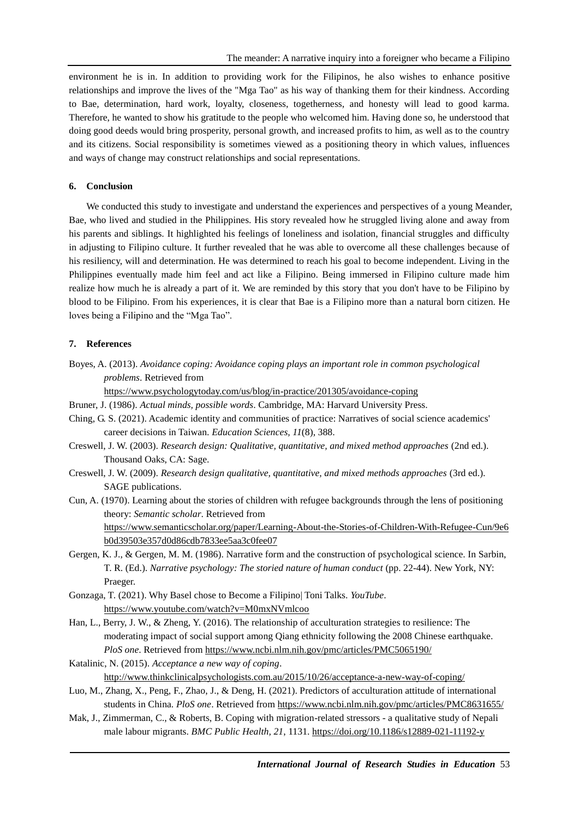environment he is in. In addition to providing work for the Filipinos, he also wishes to enhance positive relationships and improve the lives of the "Mga Tao" as his way of thanking them for their kindness. According to Bae, determination, hard work, loyalty, closeness, togetherness, and honesty will lead to good karma. Therefore, he wanted to show his gratitude to the people who welcomed him. Having done so, he understood that doing good deeds would bring prosperity, personal growth, and increased profits to him, as well as to the country and its citizens. Social responsibility is sometimes viewed as a positioning theory in which values, influences and ways of change may construct relationships and social representations.

# **6. Conclusion**

We conducted this study to investigate and understand the experiences and perspectives of a young Meander, Bae, who lived and studied in the Philippines. His story revealed how he struggled living alone and away from his parents and siblings. It highlighted his feelings of loneliness and isolation, financial struggles and difficulty in adjusting to Filipino culture. It further revealed that he was able to overcome all these challenges because of his resiliency, will and determination. He was determined to reach his goal to become independent. Living in the Philippines eventually made him feel and act like a Filipino. Being immersed in Filipino culture made him realize how much he is already a part of it. We are reminded by this story that you don't have to be Filipino by blood to be Filipino. From his experiences, it is clear that Bae is a Filipino more than a natural born citizen. He loves being a Filipino and the "Mga Tao".

## **7. References**

Boyes, A. (2013). *Avoidance coping: Avoidance coping plays an important role in common psychological problems*. Retrieved from

<https://www.psychologytoday.com/us/blog/in-practice/201305/avoidance-coping>

- Bruner, J. (1986). *Actual minds, possible words*. Cambridge, MA: Harvard University Press.
- Ching, G. S. (2021). Academic identity and communities of practice: Narratives of social science academics' career decisions in Taiwan. *Education Sciences, 11*(8), 388.
- Creswell, J. W. (2003). *Research design: Qualitative, quantitative, and mixed method approaches* (2nd ed.). Thousand Oaks, CA: Sage.
- Creswell, J. W. (2009). *Research design qualitative, quantitative, and mixed methods approaches* (3rd ed.). SAGE publications.
- Cun, A. (1970). Learning about the stories of children with refugee backgrounds through the lens of positioning theory: *Semantic scholar*. Retrieved from [https://www.semanticscholar.org/paper/Learning-About-the-Stories-of-Children-With-Refugee-Cun/9e6](https://www.semanticscholar.org/paper/Learning-About-the-Stories-of-Children-With-Refugee-Cun/9e6b0d39503e357d0d86cdb7833ee5aa3c0fee07) [b0d39503e357d0d86cdb7833ee5aa3c0fee07](https://www.semanticscholar.org/paper/Learning-About-the-Stories-of-Children-With-Refugee-Cun/9e6b0d39503e357d0d86cdb7833ee5aa3c0fee07)
- Gergen, K. J., & Gergen, M. M. (1986). Narrative form and the construction of psychological science. In Sarbin, T. R. (Ed.). *Narrative psychology: The storied nature of human conduct* (pp. 22-44). New York, NY: Praeger.
- Gonzaga, T. (2021). Why Basel chose to Become a Filipino| Toni Talks. *YouTube*. <https://www.youtube.com/watch?v=M0mxNVmlcoo>
- Han, L., Berry, J. W., & Zheng, Y. (2016). The relationship of acculturation strategies to resilience: The moderating impact of social support among Qiang ethnicity following the 2008 Chinese earthquake. *PloS one*. Retrieved from<https://www.ncbi.nlm.nih.gov/pmc/articles/PMC5065190/>
- Katalinic, N. (2015). *Acceptance a new way of coping*. <http://www.thinkclinicalpsychologists.com.au/2015/10/26/acceptance-a-new-way-of-coping/>
- Luo, M., Zhang, X., Peng, F., Zhao, J., & Deng, H. (2021). Predictors of acculturation attitude of international students in China. *PloS one*. Retrieved fro[m https://www.ncbi.nlm.nih.gov/pmc/articles/PMC8631655/](https://www.ncbi.nlm.nih.gov/pmc/articles/PMC8631655/)
- Mak, J., Zimmerman, C., & Roberts, B. Coping with migration-related stressors a qualitative study of Nepali male labour migrants. *BMC Public Health, 21*, 1131.<https://doi.org/10.1186/s12889-021-11192-y>